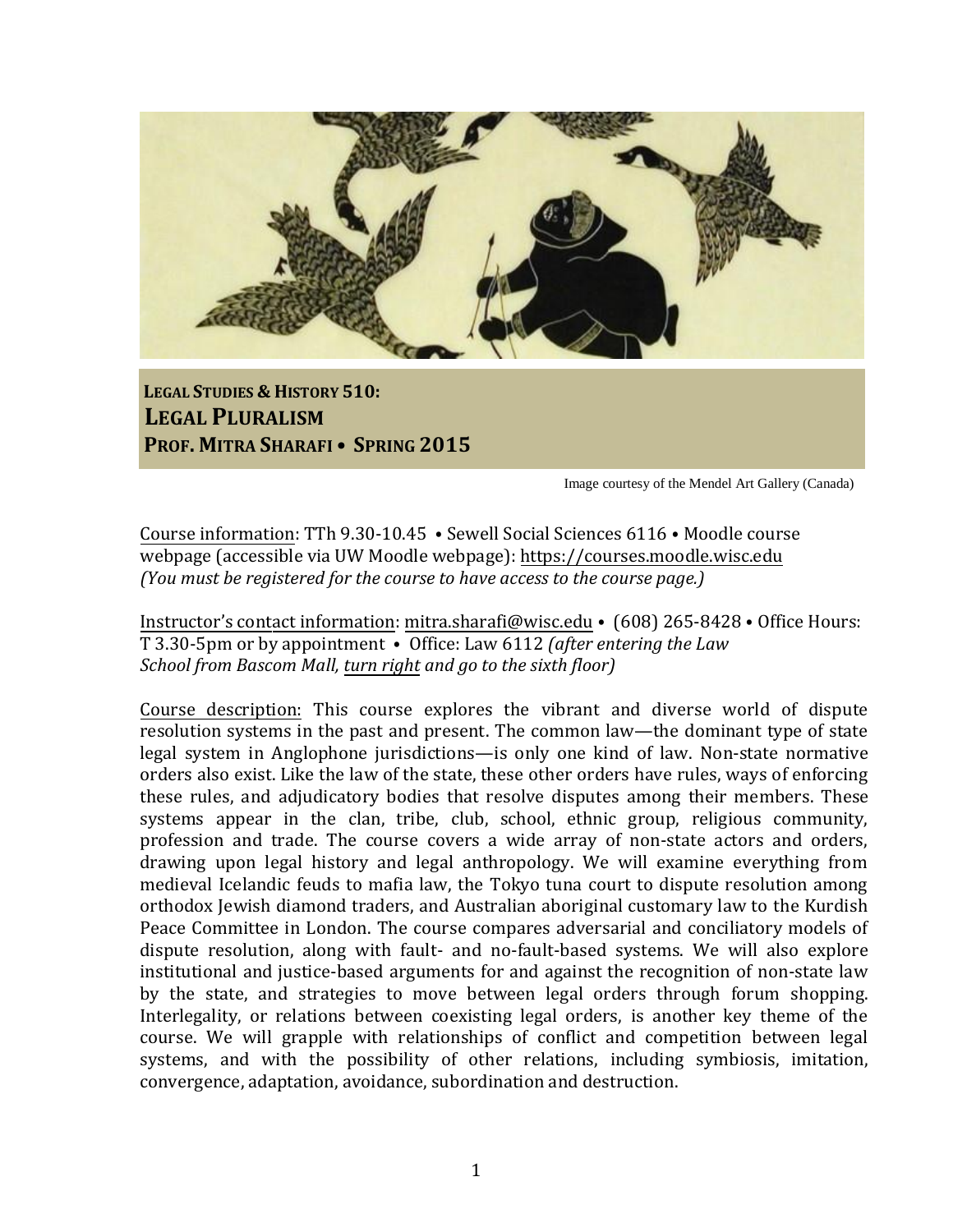

**LEGAL STUDIES & HISTORY 510: LEGAL PLURALISM PROF. MITRA SHARAFI • SPRING 2015**

Image courtesy of the Mendel Art Gallery (Canada)

Course information: TTh 9.30-10.45 ⦁ Sewell Social Sciences 6116 ⦁ Moodle course webpage (accessible via UW Moodle webpage): [https://courses.moodle.wisc.edu](https://courses.moodle.wisc.edu/)  *(You must be registered for the course to have access to the course page.)*

Instructor's contact information: [mitra.sharafi@wisc.edu](mailto:mitra.sharafi@wisc.edu) • (608) 265-8428 • Office Hours: T 3.30-5pm or by appointment ⦁ Office: Law 6112 *(after entering the Law School from Bascom Mall, turn right and go to the sixth floor)*

Course description: This course explores the vibrant and diverse world of dispute resolution systems in the past and present. The common law—the dominant type of state legal system in Anglophone jurisdictions—is only one kind of law. Non-state normative orders also exist. Like the law of the state, these other orders have rules, ways of enforcing these rules, and adjudicatory bodies that resolve disputes among their members. These systems appear in the clan, tribe, club, school, ethnic group, religious community, profession and trade. The course covers a wide array of non-state actors and orders, drawing upon legal history and legal anthropology. We will examine everything from medieval Icelandic feuds to mafia law, the Tokyo tuna court to dispute resolution among orthodox Jewish diamond traders, and Australian aboriginal customary law to the Kurdish Peace Committee in London. The course compares adversarial and conciliatory models of dispute resolution, along with fault- and no-fault-based systems. We will also explore institutional and justice-based arguments for and against the recognition of non-state law by the state, and strategies to move between legal orders through forum shopping. Interlegality, or relations between coexisting legal orders, is another key theme of the course. We will grapple with relationships of conflict and competition between legal systems, and with the possibility of other relations, including symbiosis, imitation, convergence, adaptation, avoidance, subordination and destruction.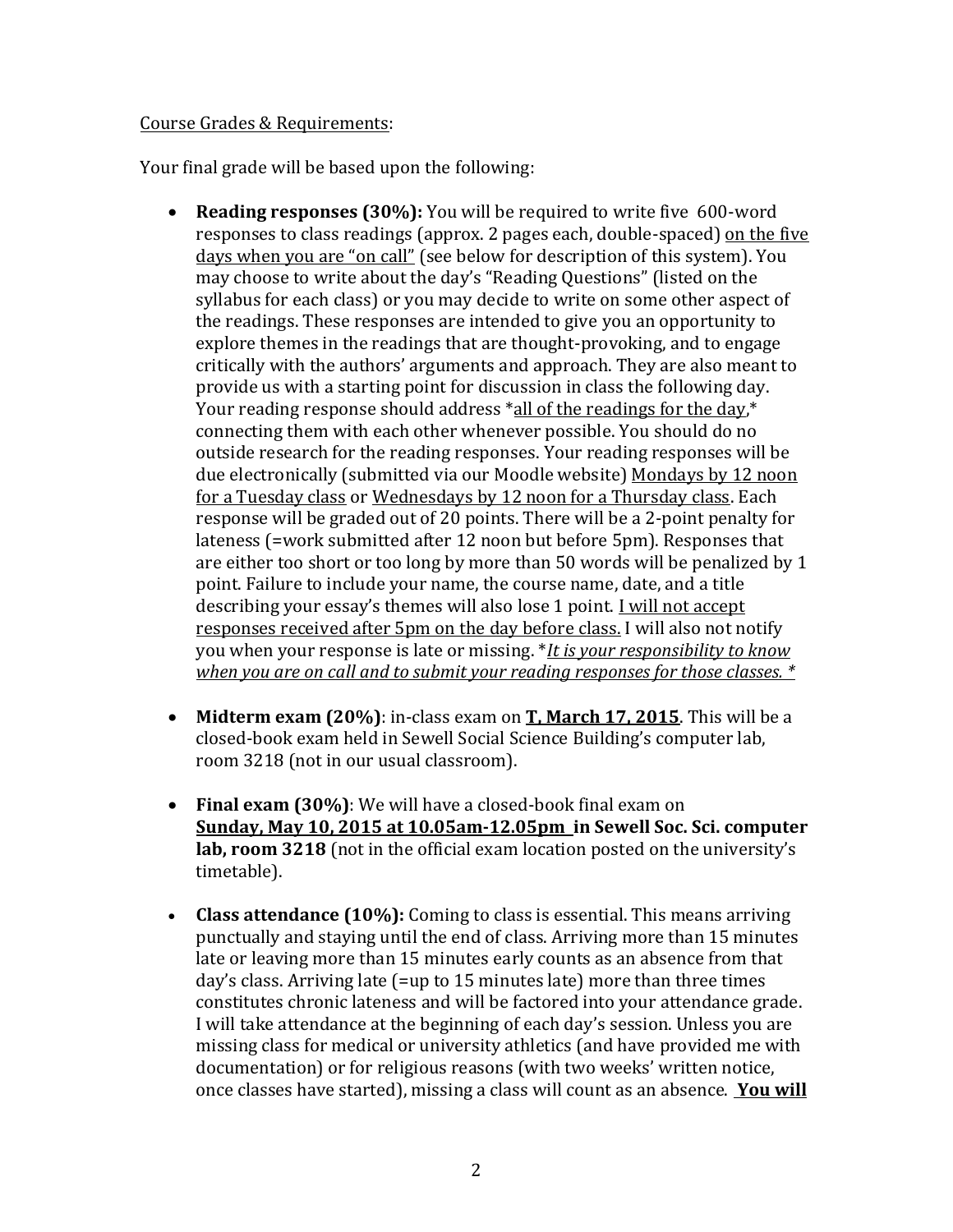#### Course Grades & Requirements:

Your final grade will be based upon the following:

- **Reading responses (30%):** You will be required to write five 600-word responses to class readings (approx. 2 pages each, double-spaced) on the five days when you are "on call" (see below for description of this system). You may choose to write about the day's "Reading Questions" (listed on the syllabus for each class) or you may decide to write on some other aspect of the readings. These responses are intended to give you an opportunity to explore themes in the readings that are thought-provoking, and to engage critically with the authors' arguments and approach. They are also meant to provide us with a starting point for discussion in class the following day. Your reading response should address \*all of the readings for the day,\* connecting them with each other whenever possible. You should do no outside research for the reading responses. Your reading responses will be due electronically (submitted via our Moodle website) Mondays by 12 noon for a Tuesday class or Wednesdays by 12 noon for a Thursday class. Each response will be graded out of 20 points. There will be a 2-point penalty for lateness (=work submitted after 12 noon but before 5pm). Responses that are either too short or too long by more than 50 words will be penalized by 1 point. Failure to include your name, the course name, date, and a title describing your essay's themes will also lose 1 point. I will not accept responses received after 5pm on the day before class. I will also not notify you when your response is late or missing. \**It is your responsibility to know when you are on call and to submit your reading responses for those classes. \**
- **Midterm exam (20%)**: in-class exam on **T, March 17, 2015**. This will be a closed-book exam held in Sewell Social Science Building's computer lab, room 3218 (not in our usual classroom).
- **Final exam (30%)**: We will have a closed-book final exam on **Sunday, May 10, 2015 at 10.05am-12.05pm in Sewell Soc. Sci. computer lab, room 3218** (not in the official exam location posted on the university's timetable).
- **Class attendance (10%):** Coming to class is essential. This means arriving punctually and staying until the end of class. Arriving more than 15 minutes late or leaving more than 15 minutes early counts as an absence from that day's class. Arriving late (=up to 15 minutes late) more than three times constitutes chronic lateness and will be factored into your attendance grade. I will take attendance at the beginning of each day's session. Unless you are missing class for medical or university athletics (and have provided me with documentation) or for religious reasons (with two weeks' written notice, once classes have started), missing a class will count as an absence. **You will**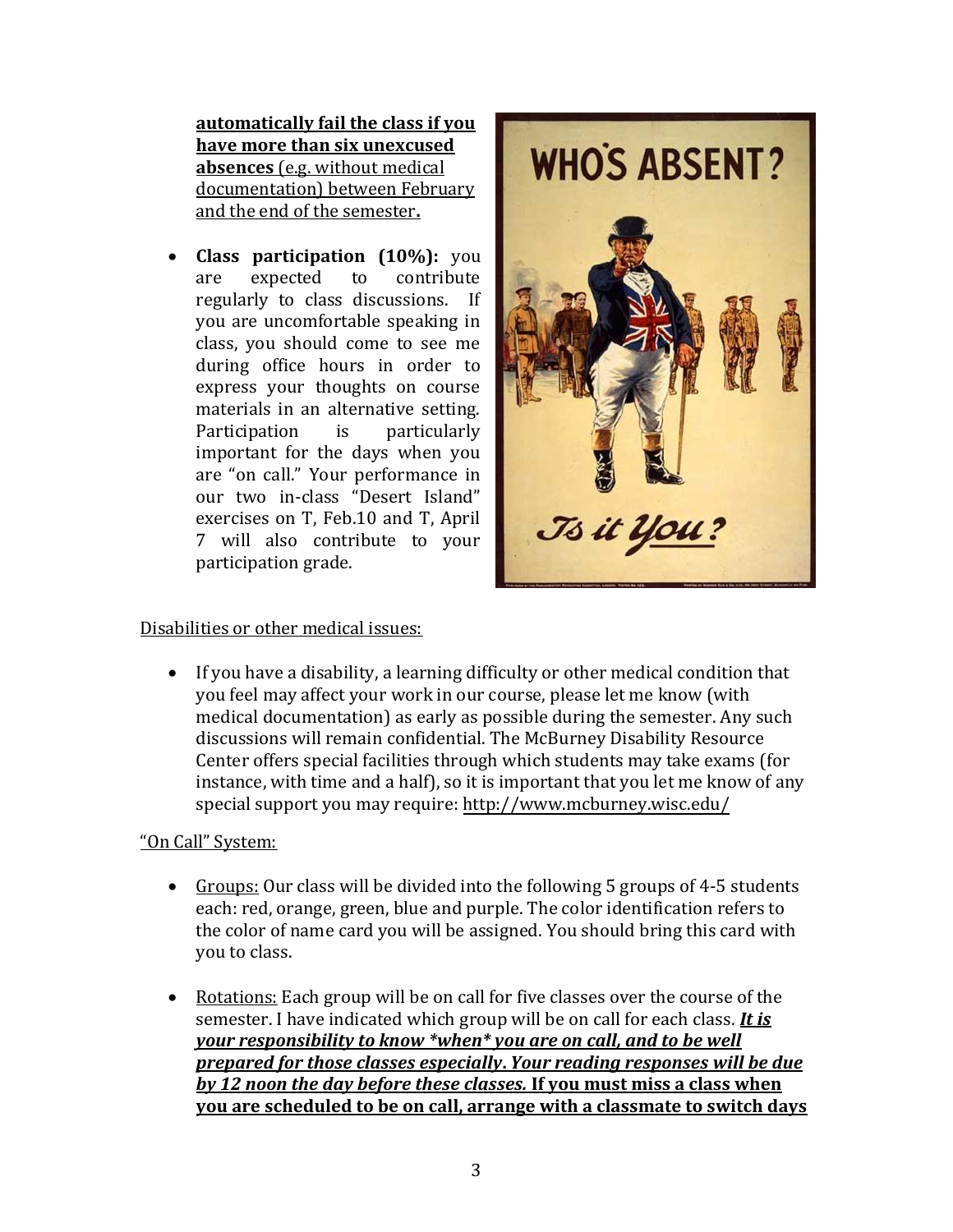**automatically fail the class if you have more than six unexcused absences** (e.g. without medical documentation) between February and the end of the semester**.**

 **Class participation (10%):** you are expected to contribute regularly to class discussions. If you are uncomfortable speaking in class, you should come to see me during office hours in order to express your thoughts on course materials in an alternative setting. Participation is particularly important for the days when you are "on call." Your performance in our two in-class "Desert Island" exercises on T, Feb.10 and T, April 7 will also contribute to your participation grade.



### Disabilities or other medical issues:

 If you have a disability, a learning difficulty or other medical condition that you feel may affect your work in our course, please let me know (with medical documentation) as early as possible during the semester. Any such discussions will remain confidential. The McBurney Disability Resource Center offers special facilities through which students may take exams (for instance, with time and a half), so it is important that you let me know of any special support you may require:<http://www.mcburney.wisc.edu/>

# "On Call" System:

- Groups: Our class will be divided into the following 5 groups of 4-5 students each: red, orange, green, blue and purple. The color identification refers to the color of name card you will be assigned. You should bring this card with you to class.
- Rotations: Each group will be on call for five classes over the course of the semester. I have indicated which group will be on call for each class*. It is your responsibility to know \*when\* you are on call, and to be well prepared for those classes especially***.** *Your reading responses will be due by 12 noon the day before these classes.* **If you must miss a class when you are scheduled to be on call, arrange with a classmate to switch days**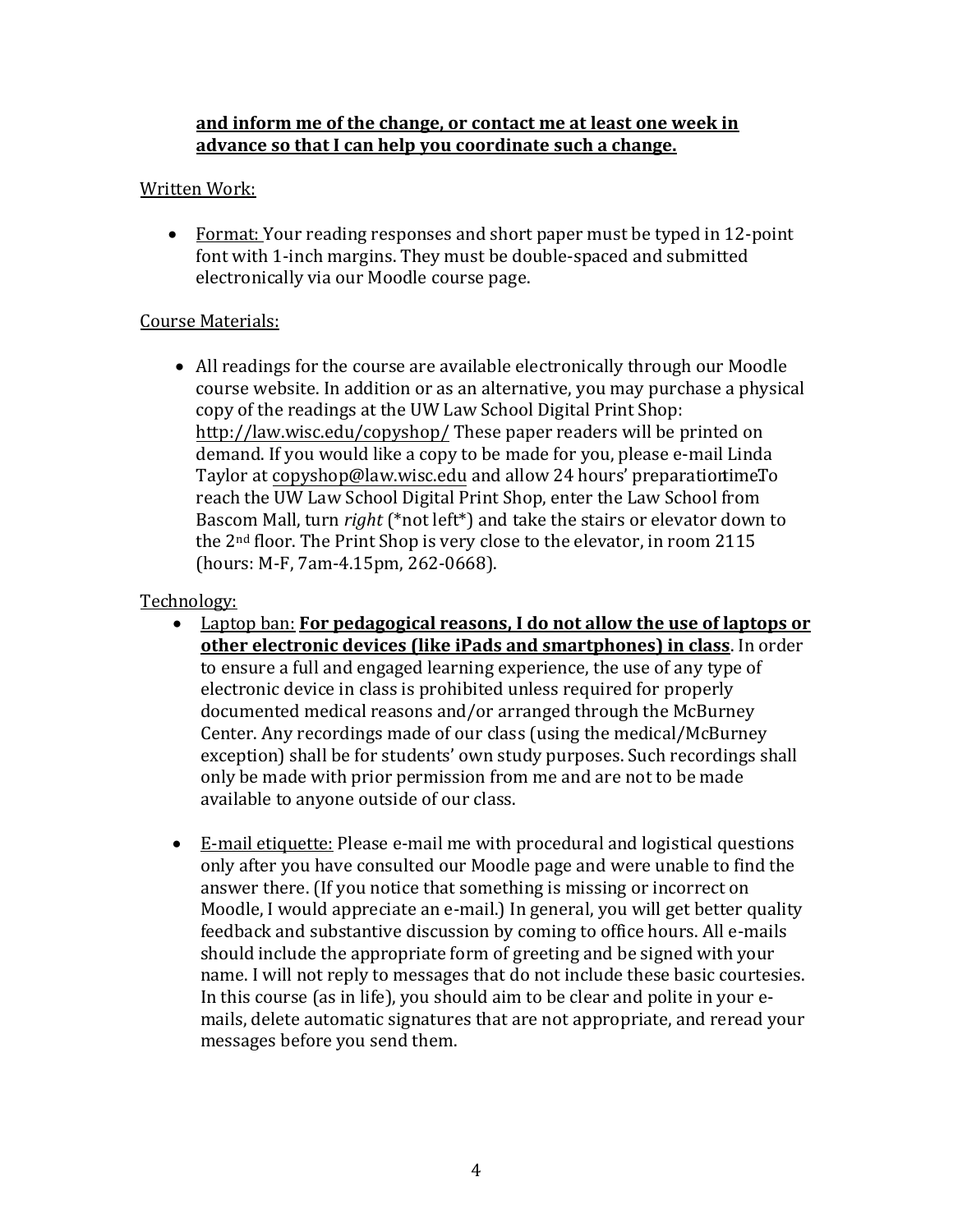## **and inform me of the change, or contact me at least one week in advance so that I can help you coordinate such a change.**

## Written Work:

 Format: Your reading responses and short paper must be typed in 12-point font with 1-inch margins. They must be double-spaced and submitted electronically via our Moodle course page.

### Course Materials:

 All readings for the course are available electronically through our Moodle course website. In addition or as an alternative, you may purchase a physical copy of the readings at the UW Law School Digital Print Shop: <http://law.wisc.edu/copyshop/> These paper readers will be printed on demand. If you would like a copy to be made for you, please e-mail Linda Taylor at [copyshop@law.wisc.edu](mailto:copyshop@law.wisc.edu) and allow 24 hours' preparation time. To reach the UW Law School Digital Print Shop, enter the Law School from Bascom Mall, turn *right* (\*not left\*) and take the stairs or elevator down to the 2nd floor. The Print Shop is very close to the elevator, in room 2115 (hours: M-F, 7am-4.15pm, 262-0668).

### Technology:

- Laptop ban: **For pedagogical reasons, I do not allow the use of laptops or other electronic devices (like iPads and smartphones) in class**. In order to ensure a full and engaged learning experience, the use of any type of electronic device in class is prohibited unless required for properly documented medical reasons and/or arranged through the McBurney Center. Any recordings made of our class (using the medical/McBurney exception) shall be for students' own study purposes. Such recordings shall only be made with prior permission from me and are not to be made available to anyone outside of our class.
- E-mail etiquette: Please e-mail me with procedural and logistical questions only after you have consulted our Moodle page and were unable to find the answer there. (If you notice that something is missing or incorrect on Moodle, I would appreciate an e-mail.) In general, you will get better quality feedback and substantive discussion by coming to office hours. All e-mails should include the appropriate form of greeting and be signed with your name. I will not reply to messages that do not include these basic courtesies. In this course (as in life), you should aim to be clear and polite in your emails, delete automatic signatures that are not appropriate, and reread your messages before you send them.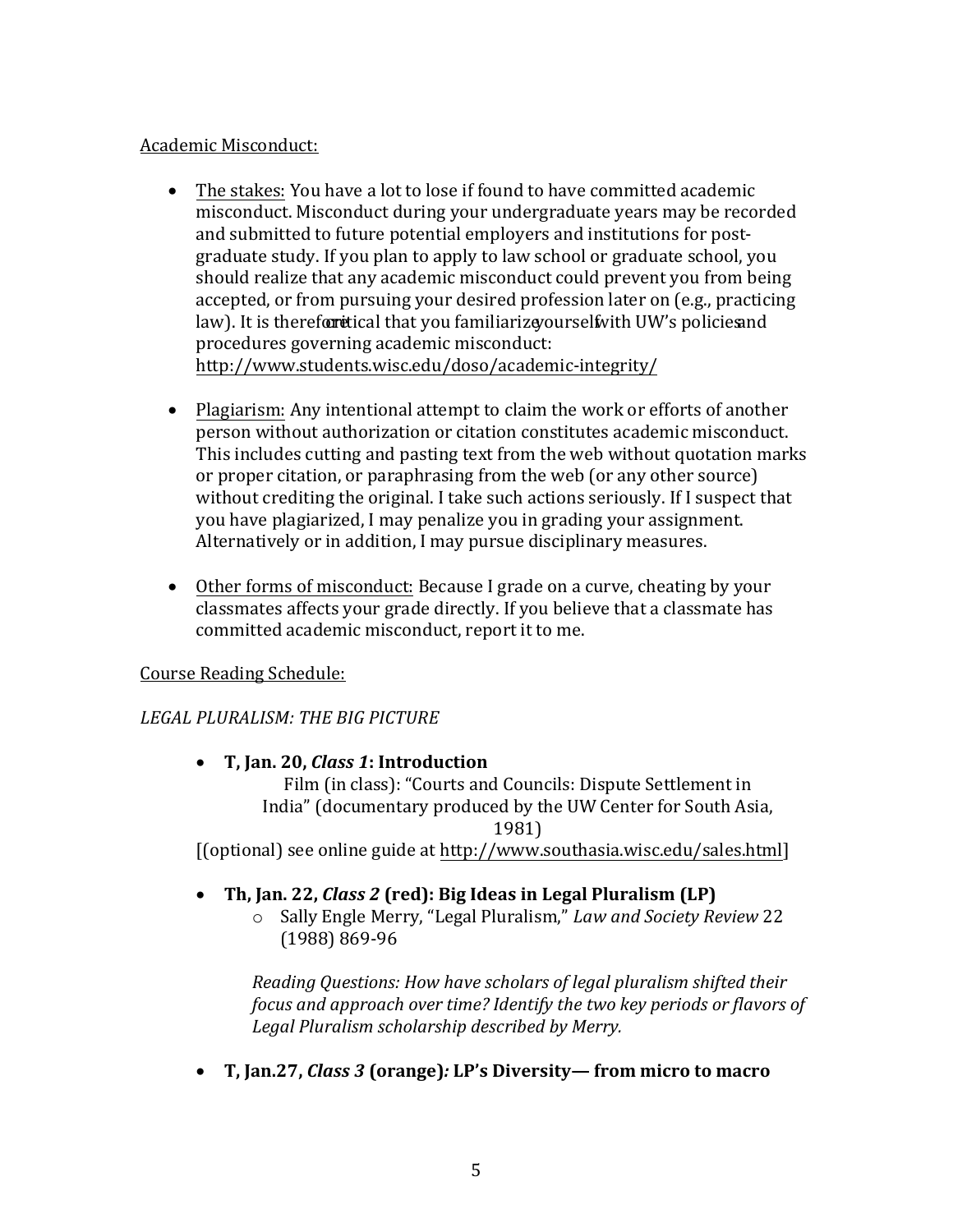### Academic Misconduct:

- The stakes: You have a lot to lose if found to have committed academic misconduct. Misconduct during your undergraduate years may be recorded and submitted to future potential employers and institutions for postgraduate study. If you plan to apply to law school or graduate school, you should realize that any academic misconduct could prevent you from being accepted, or from pursuing your desired profession later on (e.g., practicing law). It is therefortetical that you familiarize yourself with UW's policies and procedures governing academic misconduct: <http://www.students.wisc.edu/doso/academic-integrity/>
- Plagiarism: Any intentional attempt to claim the work or efforts of another person without authorization or citation constitutes academic misconduct. This includes cutting and pasting text from the web without quotation marks or proper citation, or paraphrasing from the web (or any other source) without crediting the original. I take such actions seriously. If I suspect that you have plagiarized, I may penalize you in grading your assignment. Alternatively or in addition, I may pursue disciplinary measures.
- Other forms of misconduct: Because I grade on a curve, cheating by your classmates affects your grade directly. If you believe that a classmate has committed academic misconduct, report it to me.

# Course Reading Schedule:

# *LEGAL PLURALISM: THE BIG PICTURE*

# **T, Jan. 20,** *Class 1***: Introduction**

Film (in class): "Courts and Councils: Dispute Settlement in India" (documentary produced by the UW Center for South Asia, 1981)

[(optional) see online guide at [http://www.southasia.wisc.edu/sales.html\]](http://www.southasia.wisc.edu/sales.html) 

### **Th, Jan. 22,** *Class 2* **(red): Big Ideas in Legal Pluralism (LP)**

o Sally Engle Merry, "Legal Pluralism," *Law and Society Review* 22 (1988) 869-96

*Reading Questions: How have scholars of legal pluralism shifted their focus and approach over time? Identify the two key periods or flavors of Legal Pluralism scholarship described by Merry.* 

**T, Jan.27,** *Class 3* **(orange)***:* **LP's Diversity— from micro to macro**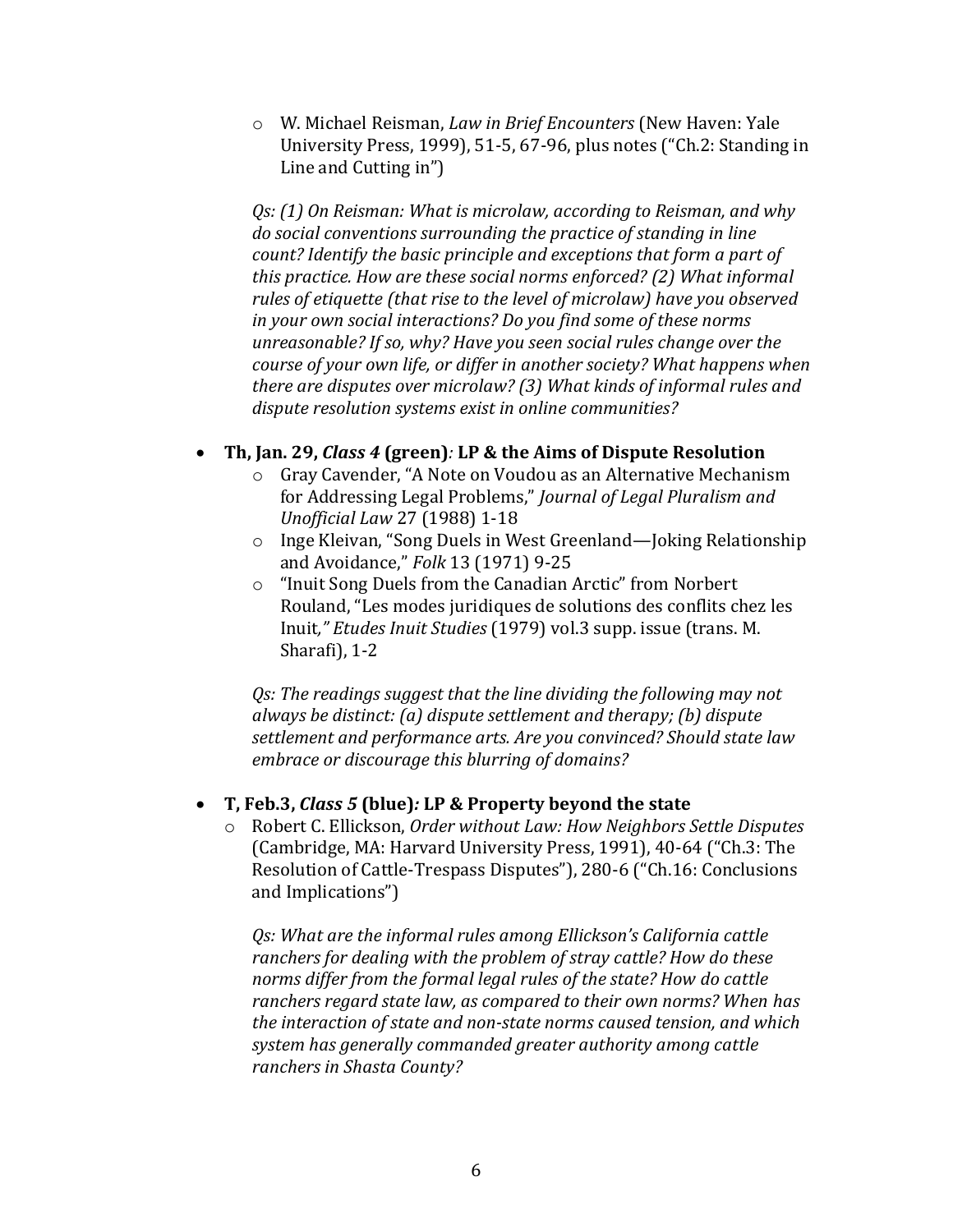o W. Michael Reisman, *Law in Brief Encounters* (New Haven: Yale University Press, 1999), 51-5, 67-96, plus notes ("Ch.2: Standing in Line and Cutting in")

*Qs: (1) On Reisman: What is microlaw, according to Reisman, and why do social conventions surrounding the practice of standing in line count? Identify the basic principle and exceptions that form a part of this practice. How are these social norms enforced? (2) What informal rules of etiquette (that rise to the level of microlaw) have you observed in your own social interactions? Do you find some of these norms unreasonable? If so, why? Have you seen social rules change over the course of your own life, or differ in another society? What happens when there are disputes over microlaw? (3) What kinds of informal rules and dispute resolution systems exist in online communities?* 

### **Th, Jan. 29,** *Class 4* **(green)***:* **LP & the Aims of Dispute Resolution**

- o Gray Cavender, "A Note on Voudou as an Alternative Mechanism for Addressing Legal Problems," *Journal of Legal Pluralism and Unofficial Law* 27 (1988) 1-18
- o Inge Kleivan, "Song Duels in West Greenland—Joking Relationship and Avoidance," *Folk* 13 (1971) 9-25
- o "Inuit Song Duels from the Canadian Arctic" from Norbert Rouland, "Les modes juridiques de solutions des conflits chez les Inuit*," Etudes Inuit Studies* (1979) vol.3 supp. issue (trans. M. Sharafi), 1-2

*Qs: The readings suggest that the line dividing the following may not always be distinct: (a) dispute settlement and therapy; (b) dispute settlement and performance arts. Are you convinced? Should state law embrace or discourage this blurring of domains?* 

#### **T, Feb.3,** *Class 5* **(blue)***:* **LP & Property beyond the state**

o Robert C. Ellickson, *Order without Law: How Neighbors Settle Disputes* (Cambridge, MA: Harvard University Press, 1991), 40-64 ("Ch.3: The Resolution of Cattle-Trespass Disputes"), 280-6 ("Ch.16: Conclusions and Implications")

*Qs: What are the informal rules among Ellickson's California cattle ranchers for dealing with the problem of stray cattle? How do these norms differ from the formal legal rules of the state? How do cattle ranchers regard state law, as compared to their own norms? When has the interaction of state and non-state norms caused tension, and which system has generally commanded greater authority among cattle ranchers in Shasta County?*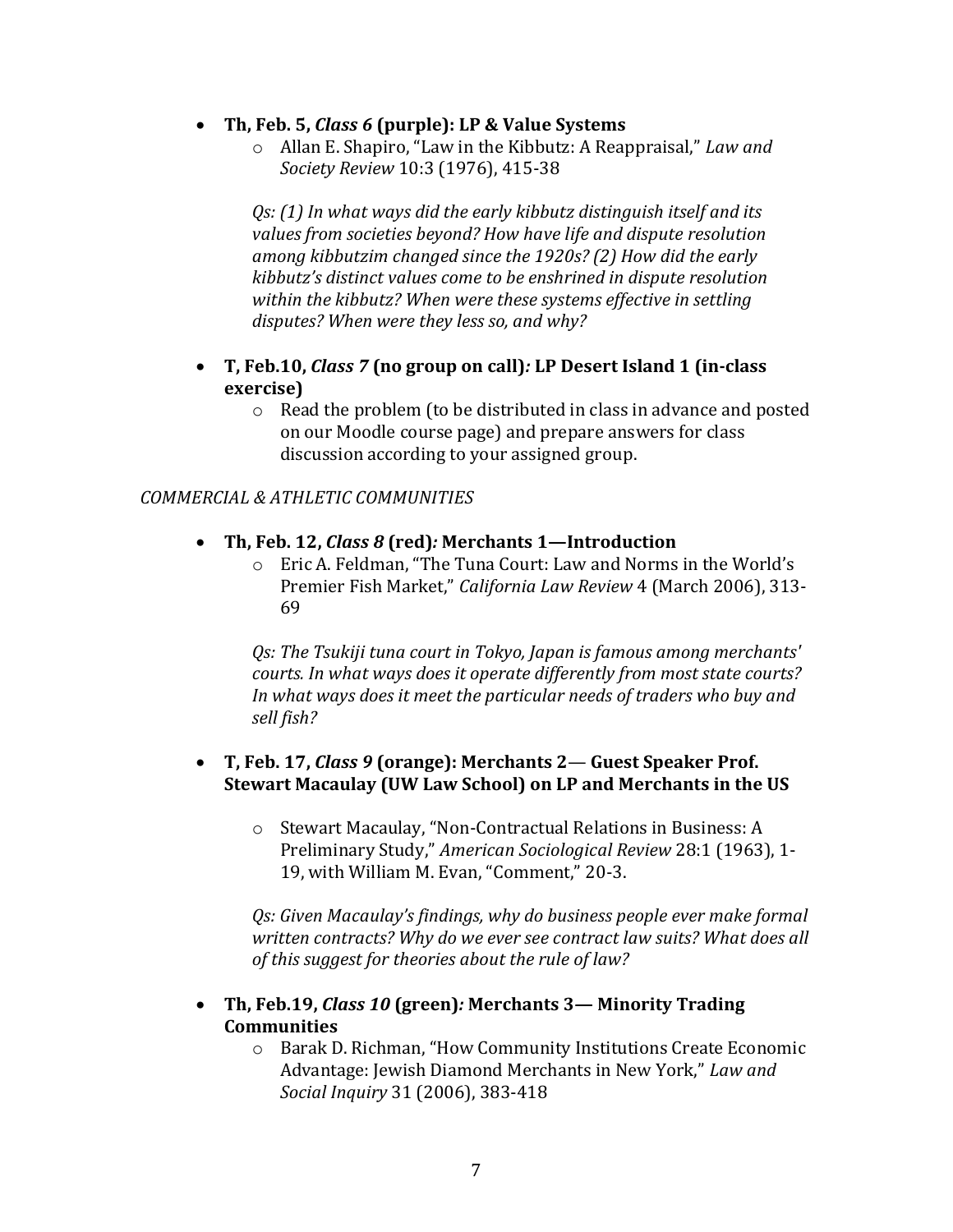- **Th, Feb. 5,** *Class 6* **(purple): LP & Value Systems**
	- o Allan E. Shapiro, "Law in the Kibbutz: A Reappraisal," *Law and Society Review* 10:3 (1976), 415-38

*Qs: (1) In what ways did the early kibbutz distinguish itself and its values from societies beyond? How have life and dispute resolution among kibbutzim changed since the 1920s? (2) How did the early kibbutz's distinct values come to be enshrined in dispute resolution within the kibbutz? When were these systems effective in settling disputes? When were they less so, and why?* 

- **T, Feb.10,** *Class 7* **(no group on call)***:* **LP Desert Island 1 (in-class exercise)**
	- o Read the problem (to be distributed in class in advance and posted on our Moodle course page) and prepare answers for class discussion according to your assigned group.

#### *COMMERCIAL & ATHLETIC COMMUNITIES*

#### **Th, Feb. 12,** *Class 8* **(red)***:* **Merchants 1—Introduction**

o Eric A. Feldman, "The Tuna Court: Law and Norms in the World's Premier Fish Market," *California Law Review* 4 (March 2006), 313- 69

*Qs: The Tsukiji tuna court in Tokyo, Japan is famous among merchants' courts. In what ways does it operate differently from most state courts? In what ways does it meet the particular needs of traders who buy and sell fish?* 

#### **T, Feb. 17,** *Class 9* **(orange): Merchants 2**— **Guest Speaker Prof. Stewart Macaulay (UW Law School) on LP and Merchants in the US**

o Stewart Macaulay, "Non-Contractual Relations in Business: A Preliminary Study," *American Sociological Review* 28:1 (1963), 1- 19, with William M. Evan, "Comment," 20-3.

*Qs: Given Macaulay's findings, why do business people ever make formal written contracts? Why do we ever see contract law suits? What does all of this suggest for theories about the rule of law?* 

- **Th, Feb.19,** *Class 10* **(green)***:* **Merchants 3— Minority Trading Communities**
	- o Barak D. Richman, "How Community Institutions Create Economic Advantage: Jewish Diamond Merchants in New York," *Law and Social Inquiry* 31 (2006), 383-418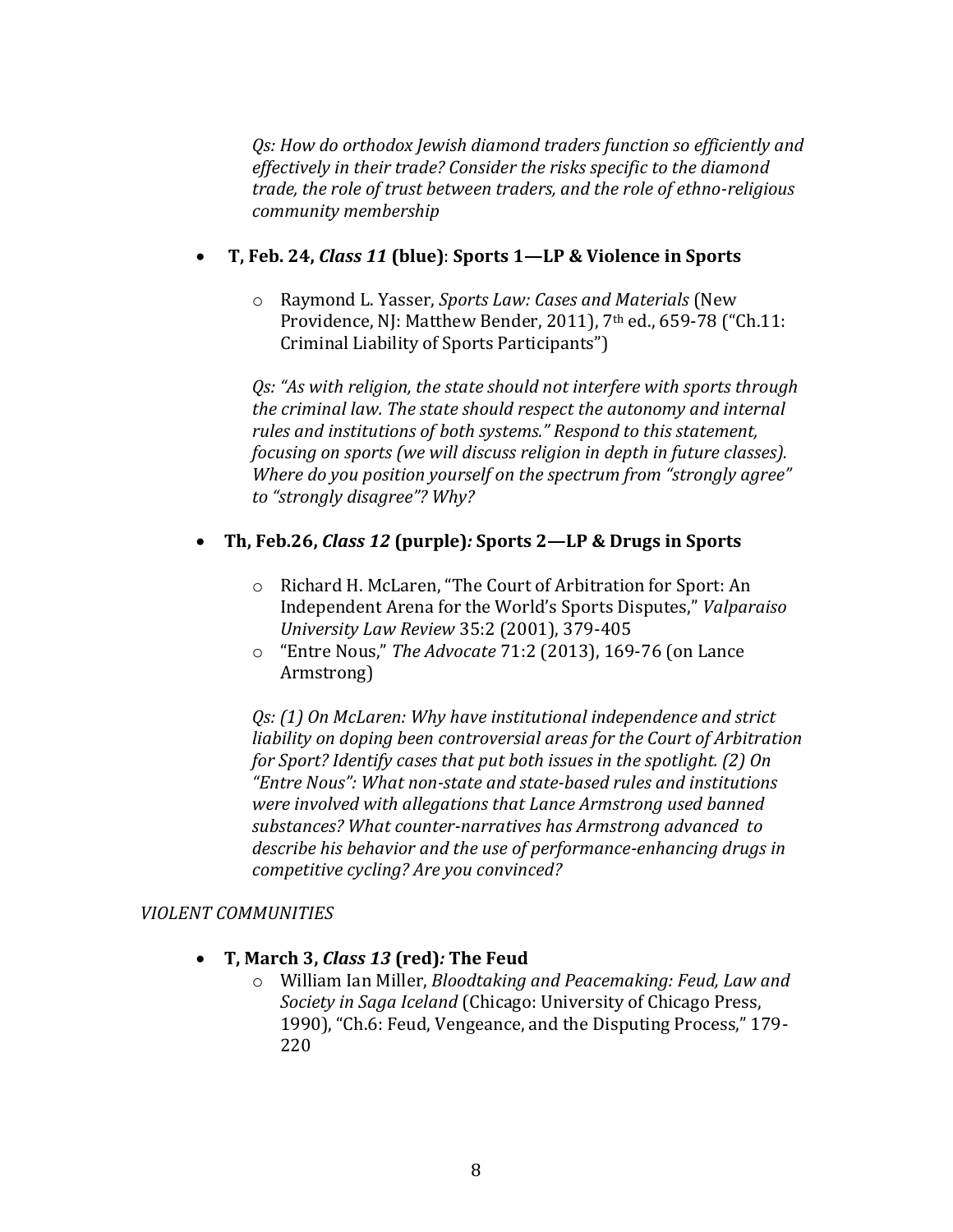*Qs: How do orthodox Jewish diamond traders function so efficiently and effectively in their trade? Consider the risks specific to the diamond trade, the role of trust between traders, and the role of ethno-religious community membership* 

## **T, Feb. 24,** *Class 11* **(blue)**: **Sports 1—LP & Violence in Sports**

o Raymond L. Yasser, *Sports Law: Cases and Materials* (New Providence, NJ: Matthew Bender, 2011), 7<sup>th</sup> ed., 659-78 ("Ch.11: Criminal Liability of Sports Participants")

*Qs: "As with religion, the state should not interfere with sports through the criminal law. The state should respect the autonomy and internal rules and institutions of both systems." Respond to this statement, focusing on sports (we will discuss religion in depth in future classes). Where do you position yourself on the spectrum from "strongly agree" to "strongly disagree"? Why?*

# **Th, Feb.26,** *Class 12* **(purple)***:* **Sports 2—LP & Drugs in Sports**

- o Richard H. McLaren, "The Court of Arbitration for Sport: An Independent Arena for the World's Sports Disputes," *Valparaiso University Law Review* 35:2 (2001), 379-405
- o "Entre Nous," *The Advocate* 71:2 (2013), 169-76 (on Lance Armstrong)

*Qs: (1) On McLaren: Why have institutional independence and strict liability on doping been controversial areas for the Court of Arbitration for Sport? Identify cases that put both issues in the spotlight. (2) On "Entre Nous": What non-state and state-based rules and institutions were involved with allegations that Lance Armstrong used banned substances? What counter-narratives has Armstrong advanced to describe his behavior and the use of performance-enhancing drugs in competitive cycling? Are you convinced?* 

### *VIOLENT COMMUNITIES*

### **T, March 3,** *Class 13* **(red)***:* **The Feud**

o William Ian Miller, *Bloodtaking and Peacemaking: Feud, Law and Society in Saga Iceland* (Chicago: University of Chicago Press, 1990), "Ch.6: Feud, Vengeance, and the Disputing Process," 179- 220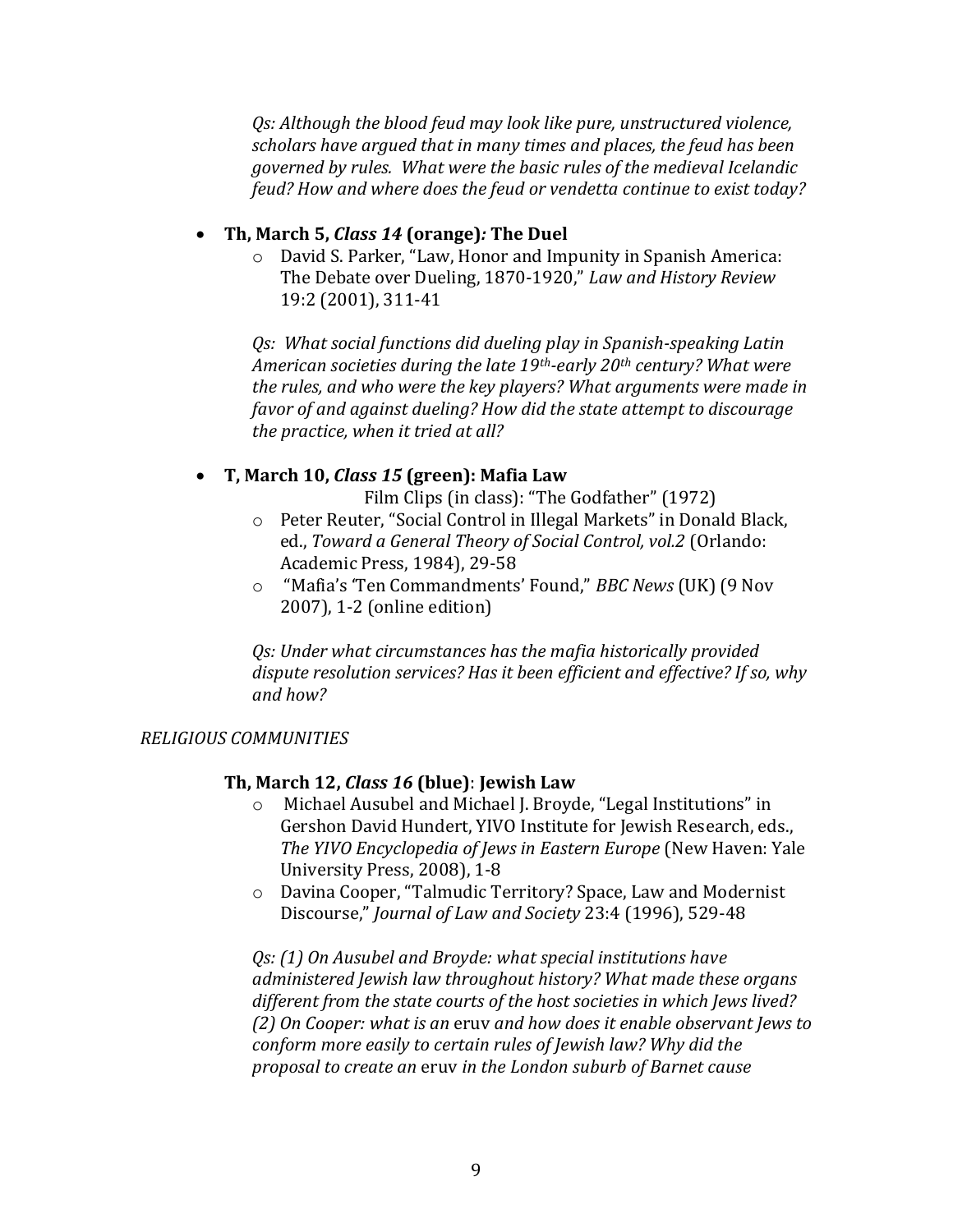*Qs: Although the blood feud may look like pure, unstructured violence, scholars have argued that in many times and places, the feud has been governed by rules. What were the basic rules of the medieval Icelandic feud? How and where does the feud or vendetta continue to exist today?* 

## **Th, March 5,** *Class 14* **(orange)***:* **The Duel**

o David S. Parker, "Law, Honor and Impunity in Spanish America: The Debate over Dueling, 1870-1920," *Law and History Review* 19:2 (2001), 311-41

*Qs: What social functions did dueling play in Spanish-speaking Latin American societies during the late 19th-early 20th century? What were the rules, and who were the key players? What arguments were made in favor of and against dueling? How did the state attempt to discourage the practice, when it tried at all?* 

## **T, March 10,** *Class 15* **(green): Mafia Law**

Film Clips (in class): "The Godfather" (1972)

- o Peter Reuter, "Social Control in Illegal Markets" in Donald Black, ed., *Toward a General Theory of Social Control, vol.2* (Orlando: Academic Press, 1984), 29-58
- o "Mafia's 'Ten Commandments' Found," *BBC News* (UK) (9 Nov 2007), 1-2 (online edition)

*Qs: Under what circumstances has the mafia historically provided dispute resolution services? Has it been efficient and effective? If so, why and how?* 

### *RELIGIOUS COMMUNITIES*

### **Th, March 12,** *Class 16* **(blue)**: **Jewish Law**

- Michael Ausubel and Michael J. Broyde, "Legal Institutions" in Gershon David Hundert, YIVO Institute for Jewish Research, eds., *The YIVO Encyclopedia of Jews in Eastern Europe* (New Haven: Yale University Press, 2008), 1-8
- o Davina Cooper, "Talmudic Territory? Space, Law and Modernist Discourse," *Journal of Law and Society* 23:4 (1996), 529-48

*Qs: (1) On Ausubel and Broyde: what special institutions have administered Jewish law throughout history? What made these organs different from the state courts of the host societies in which Jews lived? (2) On Cooper: what is an* eruv *and how does it enable observant Jews to conform more easily to certain rules of Jewish law? Why did the proposal to create an* eruv *in the London suburb of Barnet cause*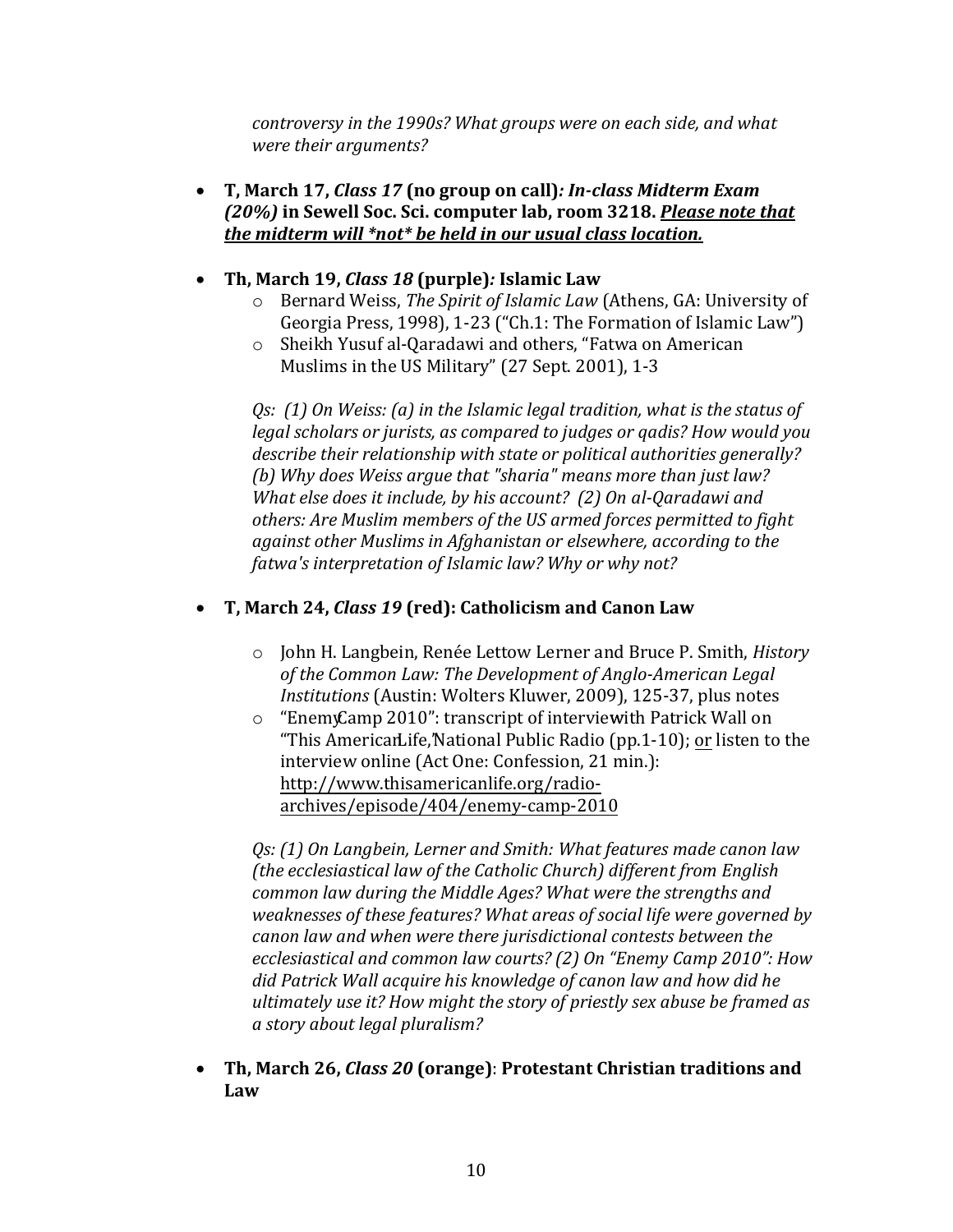*controversy in the 1990s? What groups were on each side, and what were their arguments?* 

 **T, March 17,** *Class 17* **(no group on call)***: In-class Midterm Exam (20%)* **in Sewell Soc. Sci. computer lab, room 3218.** *Please note that the midterm will \*not\* be held in our usual class location.*

# **Th, March 19,** *Class 18* **(purple)***:* **Islamic Law**

- o Bernard Weiss, *The Spirit of Islamic Law* (Athens, GA: University of Georgia Press, 1998), 1-23 ("Ch.1: The Formation of Islamic Law")
- o Sheikh Yusuf al-Qaradawi and others, "Fatwa on American Muslims in the US Military" (27 Sept. 2001), 1-3

*Qs: (1) On Weiss: (a) in the Islamic legal tradition, what is the status of legal scholars or jurists, as compared to judges or qadis? How would you describe their relationship with state or political authorities generally? (b) Why does Weiss argue that "sharia" means more than just law? What else does it include, by his account? (2) On al-Qaradawi and others: Are Muslim members of the US armed forces permitted to fight against other Muslims in Afghanistan or elsewhere, according to the fatwa's interpretation of Islamic law? Why or why not?*

# **T, March 24,** *Class 19* **(red): Catholicism and Canon Law**

- o John H. Langbein, Renée Lettow Lerner and Bruce P. Smith, *History of the Common Law: The Development of Anglo-American Legal Institutions* (Austin: Wolters Kluwer, 2009), 125-37, plus notes
- $\circ$  "Enemy Camp 2010": transcript of interview ith Patrick Wall on "This American Life, National Public Radio (pp.  $1-10$ ); or listen to the interview online (Act One: Confession, 21 min.): [http://www.thisamericanlife.org/radio](http://www.thisamericanlife.org/radio-archives/episode/404/enemy-camp-2010)[archives/episode/404/enemy-camp-2010](http://www.thisamericanlife.org/radio-archives/episode/404/enemy-camp-2010)

*Qs: (1) On Langbein, Lerner and Smith: What features made canon law (the ecclesiastical law of the Catholic Church) different from English common law during the Middle Ages? What were the strengths and weaknesses of these features? What areas of social life were governed by canon law and when were there jurisdictional contests between the ecclesiastical and common law courts? (2) On "Enemy Camp 2010": How did Patrick Wall acquire his knowledge of canon law and how did he ultimately use it? How might the story of priestly sex abuse be framed as a story about legal pluralism?* 

 **Th, March 26,** *Class 20* **(orange)**: **Protestant Christian traditions and Law**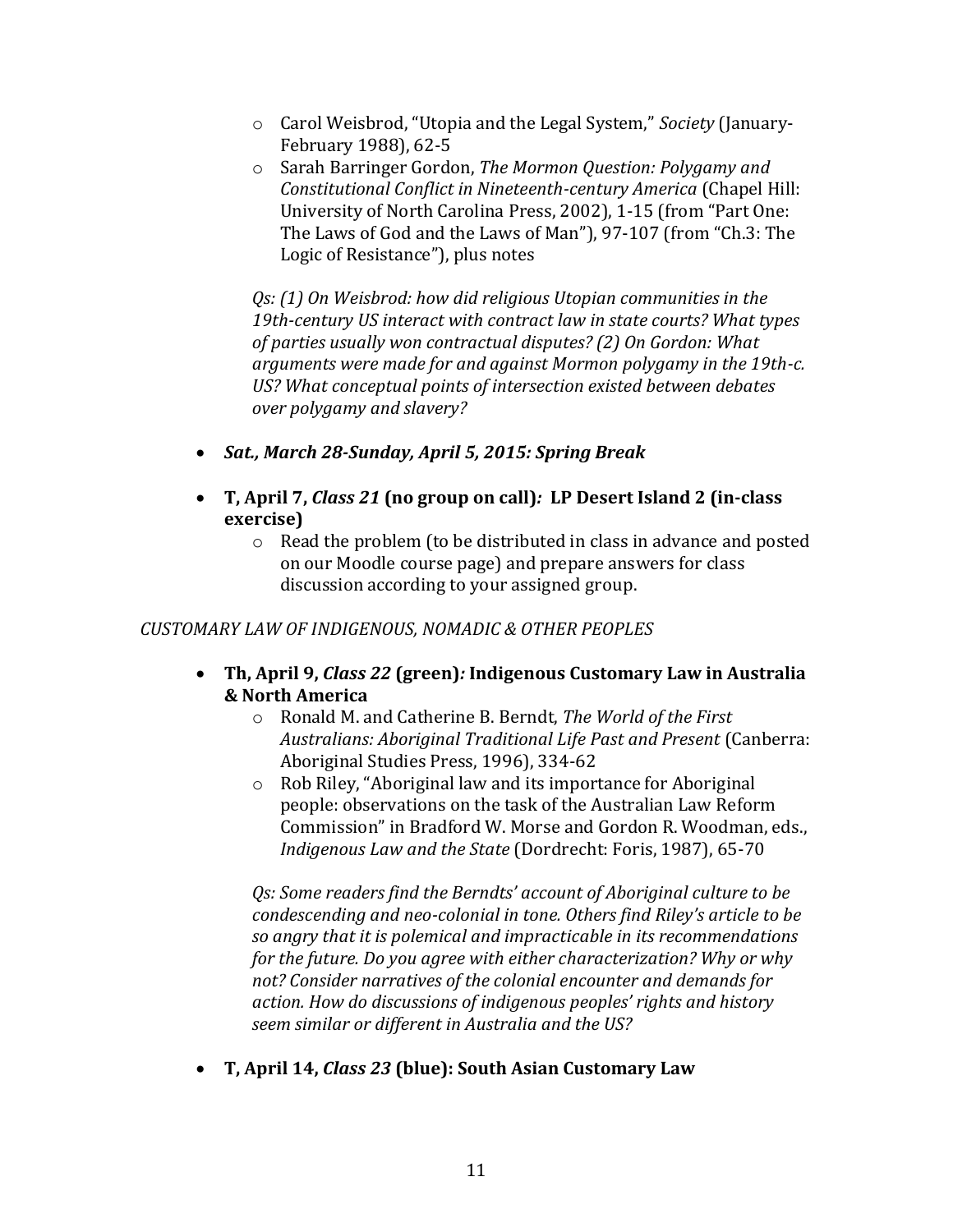- o Carol Weisbrod, "Utopia and the Legal System," *Society* (January-February 1988), 62-5
- o Sarah Barringer Gordon, *The Mormon Question: Polygamy and Constitutional Conflict in Nineteenth-century America* (Chapel Hill: University of North Carolina Press, 2002), 1-15 (from "Part One: The Laws of God and the Laws of Man"), 97-107 (from "Ch.3: The Logic of Resistance"), plus notes

*Qs: (1) On Weisbrod: how did religious Utopian communities in the 19th-century US interact with contract law in state courts? What types of parties usually won contractual disputes? (2) On Gordon: What arguments were made for and against Mormon polygamy in the 19th-c. US? What conceptual points of intersection existed between debates over polygamy and slavery?* 

- *Sat., March 28-Sunday, April 5, 2015: Spring Break*
- **T, April 7,** *Class 21* **(no group on call)***:* **LP Desert Island 2 (in-class exercise)**
	- o Read the problem (to be distributed in class in advance and posted on our Moodle course page) and prepare answers for class discussion according to your assigned group.

# *CUSTOMARY LAW OF INDIGENOUS, NOMADIC & OTHER PEOPLES*

- **Th, April 9,** *Class 22* **(green)***:* **Indigenous Customary Law in Australia & North America**
	- o Ronald M. and Catherine B. Berndt, *The World of the First Australians: Aboriginal Traditional Life Past and Present* (Canberra: Aboriginal Studies Press, 1996), 334-62
	- o Rob Riley, "Aboriginal law and its importance for Aboriginal people: observations on the task of the Australian Law Reform Commission" in Bradford W. Morse and Gordon R. Woodman, eds., *Indigenous Law and the State* (Dordrecht: Foris, 1987), 65-70

*Qs: Some readers find the Berndts' account of Aboriginal culture to be condescending and neo-colonial in tone. Others find Riley's article to be so angry that it is polemical and impracticable in its recommendations for the future. Do you agree with either characterization? Why or why not? Consider narratives of the colonial encounter and demands for action. How do discussions of indigenous peoples' rights and history seem similar or different in Australia and the US?* 

**T, April 14,** *Class 23* **(blue): South Asian Customary Law**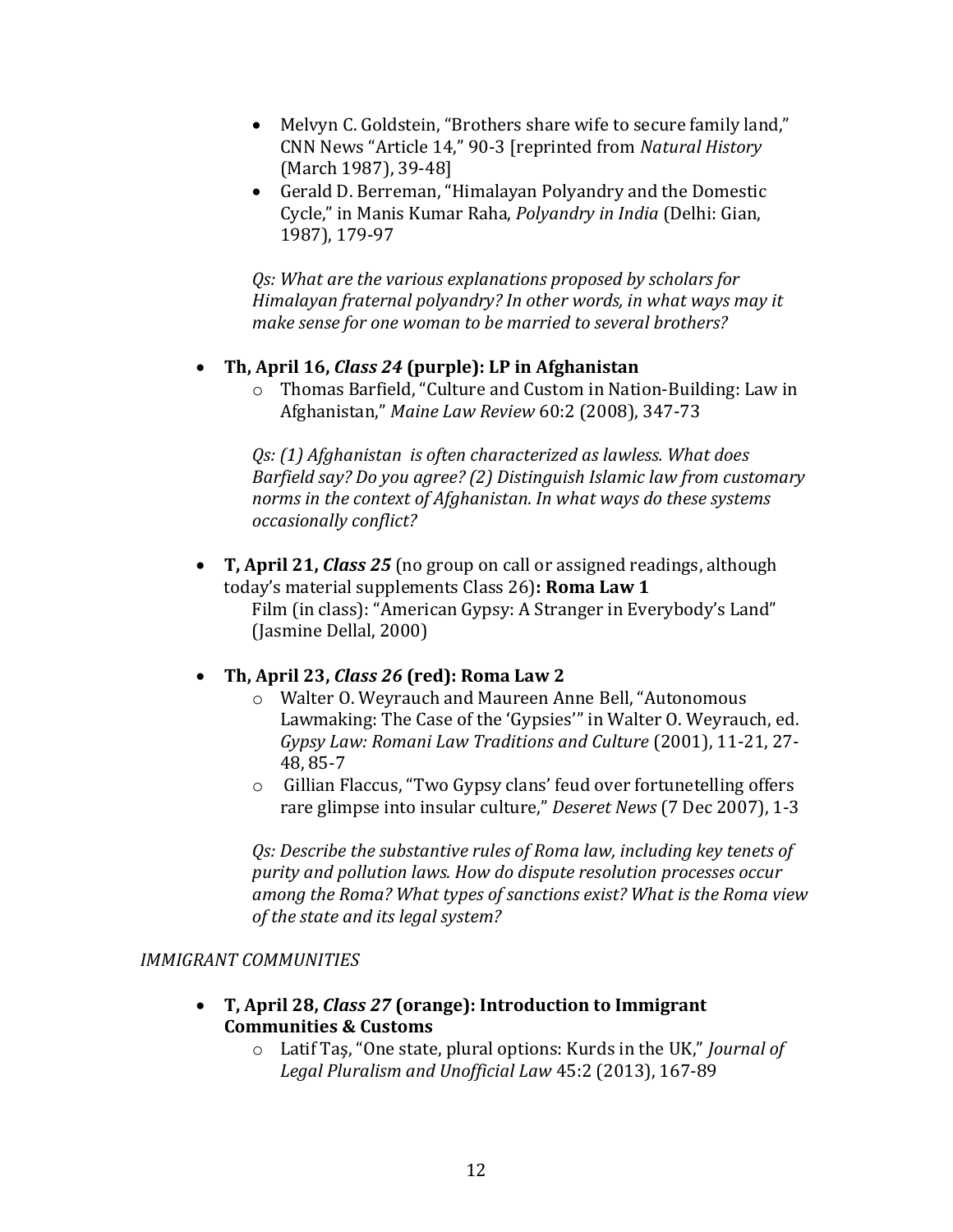- Melvyn C. Goldstein, "Brothers share wife to secure family land," CNN News "Article 14," 90-3 [reprinted from *Natural History* (March 1987), 39-48]
- Gerald D. Berreman, "Himalayan Polyandry and the Domestic Cycle," in Manis Kumar Raha, *Polyandry in India* (Delhi: Gian, 1987), 179-97

*Qs: What are the various explanations proposed by scholars for Himalayan fraternal polyandry? In other words, in what ways may it make sense for one woman to be married to several brothers?* 

## **Th, April 16,** *Class 24* **(purple): LP in Afghanistan**

o Thomas Barfield, "Culture and Custom in Nation-Building: Law in Afghanistan," *Maine Law Review* 60:2 (2008), 347-73

*Qs: (1) Afghanistan is often characterized as lawless. What does Barfield say? Do you agree? (2) Distinguish Islamic law from customary norms in the context of Afghanistan. In what ways do these systems occasionally conflict?* 

 **T, April 21,** *Class 25* (no group on call or assigned readings, although today's material supplements Class 26)**: Roma Law 1** Film (in class): "American Gypsy: A Stranger in Everybody's Land" (Jasmine Dellal, 2000)

# **Th, April 23,** *Class 26* **(red): Roma Law 2**

- o Walter O. Weyrauch and Maureen Anne Bell, "Autonomous Lawmaking: The Case of the 'Gypsies'" in Walter O. Weyrauch, ed. *Gypsy Law: Romani Law Traditions and Culture* (2001), 11-21, 27- 48, 85-7
- o Gillian Flaccus, "Two Gypsy clans' feud over fortunetelling offers rare glimpse into insular culture," *Deseret News* (7 Dec 2007), 1-3

*Qs: Describe the substantive rules of Roma law, including key tenets of purity and pollution laws. How do dispute resolution processes occur among the Roma? What types of sanctions exist? What is the Roma view of the state and its legal system?* 

### *IMMIGRANT COMMUNITIES*

- **T, April 28,** *Class 27* **(orange): Introduction to Immigrant Communities & Customs**
	- o Latif Taş, "One state, plural options: Kurds in the UK," *Journal of Legal Pluralism and Unofficial Law* 45:2 (2013), 167-89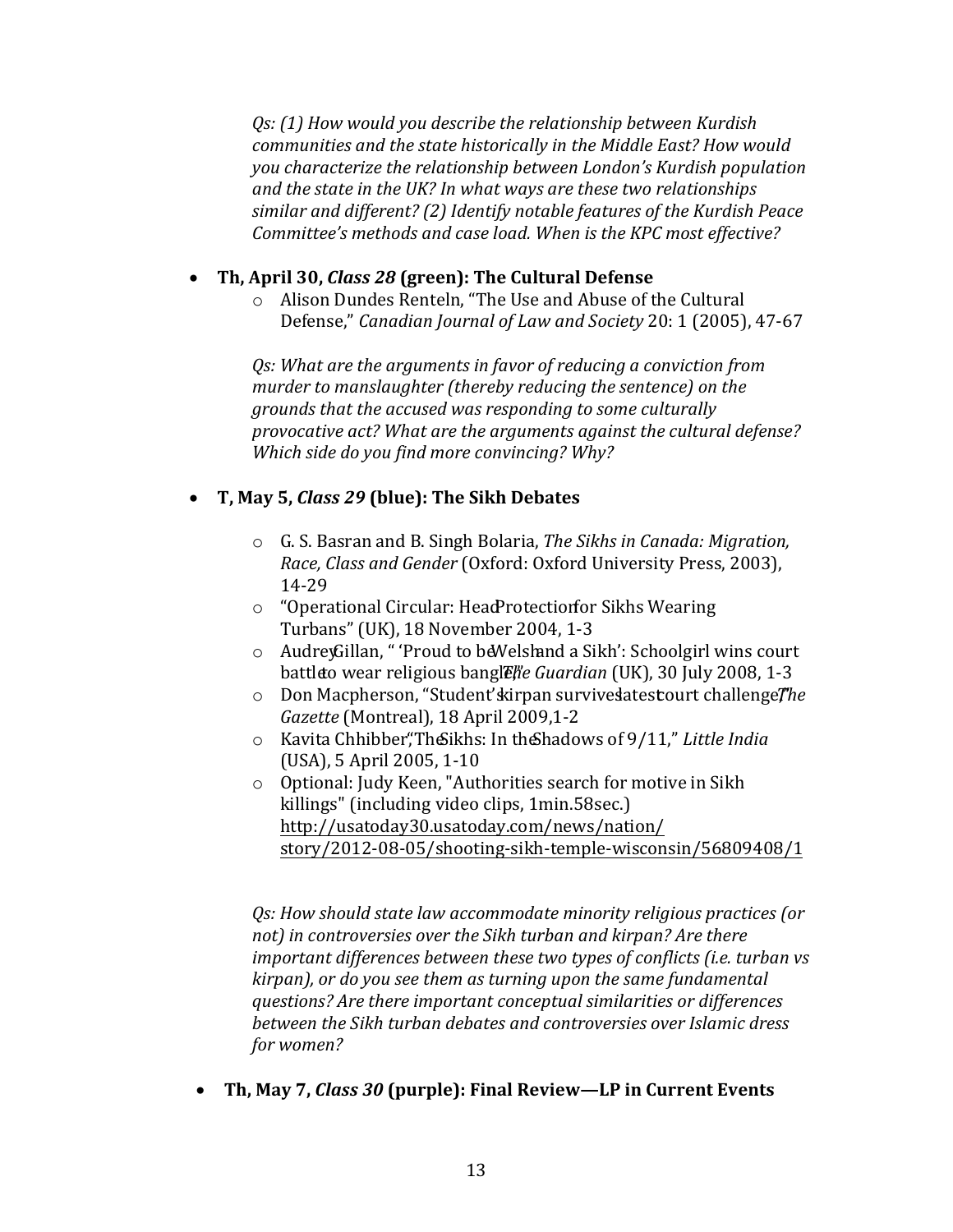*Qs: (1) How would you describe the relationship between Kurdish communities and the state historically in the Middle East? How would you characterize the relationship between London's Kurdish population and the state in the UK? In what ways are these two relationships similar and different? (2) Identify notable features of the Kurdish Peace Committee's methods and case load. When is the KPC most effective?* 

# **Th, April 30,** *Class 28* **(green): The Cultural Defense**

o Alison Dundes Renteln, "The Use and Abuse of the Cultural Defense," *Canadian Journal of Law and Society* 20: 1 (2005), 47-67

*Qs: What are the arguments in favor of reducing a conviction from murder to manslaughter (thereby reducing the sentence) on the grounds that the accused was responding to some culturally provocative act? What are the arguments against the cultural defense? Which side do you find more convincing? Why?* 

# **T, May 5,** *Class 29* **(blue): The Sikh Debates**

- o G. S. Basran and B. Singh Bolaria, *The Sikhs in Canada: Migration, Race, Class and Gender* (Oxford: Oxford University Press, 2003), 14-29
- $\circ$  "Operational Circular: Head Protection for Sikhs Wearing Turbans" (UK), 18 November 2004, 1-3
- $\circ$  Audrey Gillan, " 'Proud to be Welsh and a Sikh': Schoolgirl wins court battleto wear religious bangle, *The Guardian* (UK), 30 July 2008, 1-3
- o Don Macpherson, "Student' kirpan survive satest court challenge *The Gazette* (Montreal), 18 April 2009,1-2
- o Kavita Chhibber, "The Sikhs: In the Shadows of 9/11," Little India (USA), 5 April 2005, 1-10
- o Optional: Judy Keen, "Authorities search for motive in Sikh killings" (including video clips, 1min.58sec.) http://usatoday30.usatoday.com/news/nation/ [story/2012-08-05/shooting-sikh-temple-wisconsin/56809408/1](http://usatoday30.usatoday.com/news/nation/story/2012-08-05/shooting-sikh-temple-wisconsin/56809408/1)

*Qs: How should state law accommodate minority religious practices (or not) in controversies over the Sikh turban and kirpan? Are there important differences between these two types of conflicts (i.e. turban vs kirpan), or do you see them as turning upon the same fundamental questions? Are there important conceptual similarities or differences between the Sikh turban debates and controversies over Islamic dress for women?* 

**Th, May 7,** *Class 30* **(purple): Final Review—LP in Current Events**